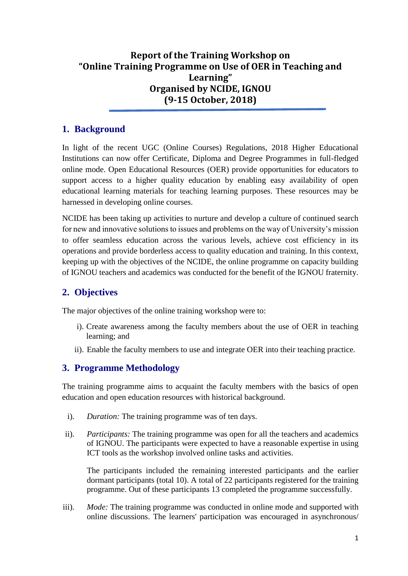# **Report of the Training Workshop on "Online Training Programme on Use of OER in Teaching and Learning" Organised by NCIDE, IGNOU (9-15 October, 2018)**

### **1. Background**

In light of the recent UGC (Online Courses) Regulations, 2018 Higher Educational Institutions can now offer Certificate, Diploma and Degree Programmes in full-fledged online mode. Open Educational Resources (OER) provide opportunities for educators to support access to a higher quality education by enabling easy availability of open educational learning materials for teaching learning purposes. These resources may be harnessed in developing online courses.

NCIDE has been taking up activities to nurture and develop a culture of continued search for new and innovative solutions to issues and problems on the way of University's mission to offer seamless education across the various levels, achieve cost efficiency in its operations and provide borderless access to quality education and training. In this context, keeping up with the objectives of the NCIDE, the online programme on capacity building of IGNOU teachers and academics was conducted for the benefit of the IGNOU fraternity.

# **2. Objectives**

The major objectives of the online training workshop were to:

- i). Create awareness among the faculty members about the use of OER in teaching learning; and
- ii). Enable the faculty members to use and integrate OER into their teaching practice.

# **3. Programme Methodology**

The training programme aims to acquaint the faculty members with the basics of open education and open education resources with historical background.

- i). *Duration:* The training programme was of ten days.
- ii). *Participants:* The training programme was open for all the teachers and academics of IGNOU. The participants were expected to have a reasonable expertise in using ICT tools as the workshop involved online tasks and activities.

The participants included the remaining interested participants and the earlier dormant participants (total 10). A total of 22 participants registered for the training programme. Out of these participants 13 completed the programme successfully.

iii). *Mode:* The training programme was conducted in online mode and supported with online discussions. The learners' participation was encouraged in asynchronous/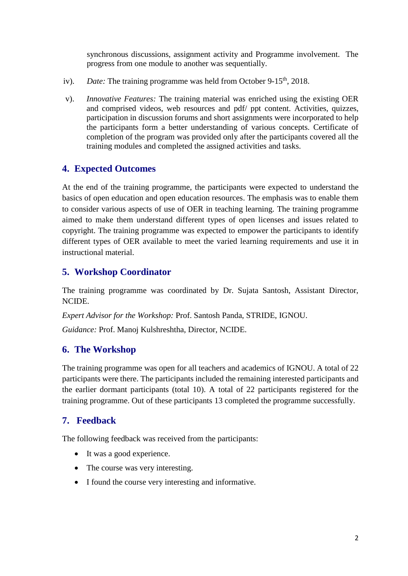synchronous discussions, assignment activity and Programme involvement. The progress from one module to another was sequentially.

- iv). *Date:* The training programme was held from October 9-15<sup>th</sup>, 2018.
- v). *Innovative Features:* The training material was enriched using the existing OER and comprised videos, web resources and pdf/ ppt content. Activities, quizzes, participation in discussion forums and short assignments were incorporated to help the participants form a better understanding of various concepts. Certificate of completion of the program was provided only after the participants covered all the training modules and completed the assigned activities and tasks.

#### **4. Expected Outcomes**

At the end of the training programme, the participants were expected to understand the basics of open education and open education resources. The emphasis was to enable them to consider various aspects of use of OER in teaching learning. The training programme aimed to make them understand different types of open licenses and issues related to copyright. The training programme was expected to empower the participants to identify different types of OER available to meet the varied learning requirements and use it in instructional material.

### **5. Workshop Coordinator**

The training programme was coordinated by Dr. Sujata Santosh, Assistant Director, NCIDE.

*Expert Advisor for the Workshop:* Prof. Santosh Panda, STRIDE, IGNOU.

*Guidance:* Prof. Manoj Kulshreshtha, Director, NCIDE.

#### **6. The Workshop**

The training programme was open for all teachers and academics of IGNOU. A total of 22 participants were there. The participants included the remaining interested participants and the earlier dormant participants (total 10). A total of 22 participants registered for the training programme. Out of these participants 13 completed the programme successfully.

# **7. Feedback**

The following feedback was received from the participants:

- It was a good experience.
- The course was very interesting.
- I found the course very interesting and informative.